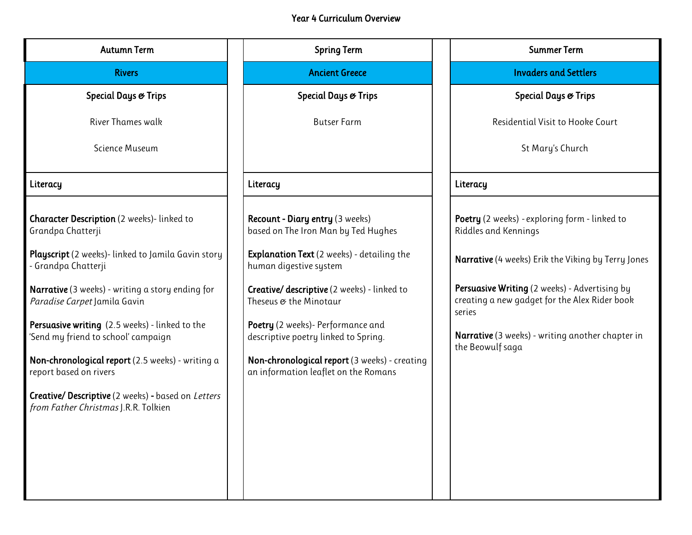## Year 4 Curriculum Overview

| <b>Autumn Term</b>                                                                           | <b>Spring Term</b>                                                                    | <b>Summer Term</b>                                                                                       |
|----------------------------------------------------------------------------------------------|---------------------------------------------------------------------------------------|----------------------------------------------------------------------------------------------------------|
| <b>Rivers</b>                                                                                | <b>Ancient Greece</b>                                                                 | <b>Invaders and Settlers</b>                                                                             |
| Special Days & Trips                                                                         | Special Days & Trips                                                                  | Special Days & Trips                                                                                     |
| River Thames walk                                                                            | <b>Butser Farm</b>                                                                    | Residential Visit to Hooke Court                                                                         |
| Science Museum                                                                               |                                                                                       | St Mary's Church                                                                                         |
| Literacy                                                                                     | Literacy                                                                              | Literacy                                                                                                 |
| <b>Character Description</b> (2 weeks)-linked to<br>Grandpa Chatterji                        | Recount - Diary entry (3 weeks)<br>based on The Iron Man by Ted Hughes                | Poetry (2 weeks) - exploring form - linked to<br>Riddles and Kennings                                    |
| <b>Playscript</b> (2 weeks)- linked to Jamila Gavin story<br>- Grandpa Chatterji             | <b>Explanation Text</b> (2 weeks) - detailing the<br>human digestive system           | Narrative (4 weeks) Erik the Viking by Terry Jones                                                       |
| Narrative (3 weeks) - writing a story ending for<br>Paradise Carpet Jamila Gavin             | <b>Creative/ descriptive</b> (2 weeks) - linked to<br>Theseus & the Minotaur          | Persuasive Writing (2 weeks) - Advertising by<br>creating a new gadget for the Alex Rider book<br>series |
| <b>Persuasive writing</b> (2.5 weeks) - linked to the<br>'Send my friend to school' campaign | Poetry (2 weeks)- Performance and<br>descriptive poetry linked to Spring.             | Narrative (3 weeks) - writing another chapter in<br>the Beowulf saga                                     |
| Non-chronological report (2.5 weeks) - writing a<br>report based on rivers                   | Non-chronological report (3 weeks) - creating<br>an information leaflet on the Romans |                                                                                                          |
| Creative/ Descriptive (2 weeks) - based on Letters<br>from Father Christmas J.R.R. Tolkien   |                                                                                       |                                                                                                          |
|                                                                                              |                                                                                       |                                                                                                          |
|                                                                                              |                                                                                       |                                                                                                          |
|                                                                                              |                                                                                       |                                                                                                          |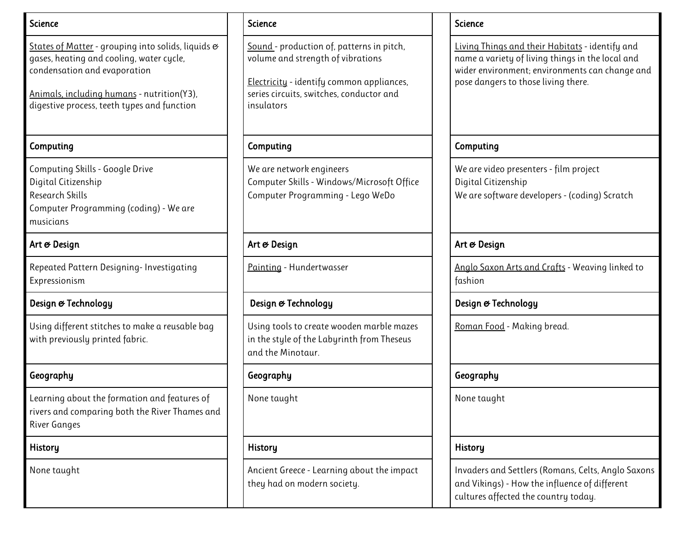| <b>Science</b>                                                                                                                                                                                                              | <b>Science</b>                                                                                                                                                                        | <b>Science</b>                                                                                                                                                                               |
|-----------------------------------------------------------------------------------------------------------------------------------------------------------------------------------------------------------------------------|---------------------------------------------------------------------------------------------------------------------------------------------------------------------------------------|----------------------------------------------------------------------------------------------------------------------------------------------------------------------------------------------|
| States of Matter - grouping into solids, liquids &<br>gases, heating and cooling, water cycle,<br>condensation and evaporation<br>Animals, including humans - nutrition(Y3),<br>digestive process, teeth types and function | Sound - production of, patterns in pitch,<br>volume and strength of vibrations<br>Electricity - identify common appliances,<br>series circuits, switches, conductor and<br>insulators | Living Things and their Habitats - identify and<br>name a variety of living things in the local and<br>wider environment; environments can change and<br>pose dangers to those living there. |
| Computing                                                                                                                                                                                                                   | Computing                                                                                                                                                                             | Computing                                                                                                                                                                                    |
| <b>Computing Skills - Google Drive</b><br>Digital Citizenship<br>Research Skills<br>Computer Programming (coding) - We are<br>musicians                                                                                     | We are network engineers<br>Computer Skills - Windows/Microsoft Office<br>Computer Programming - Lego WeDo                                                                            | We are video presenters - film project<br>Digital Citizenship<br>We are software developers - (coding) Scratch                                                                               |
| Art & Design                                                                                                                                                                                                                | Art & Design                                                                                                                                                                          | Art & Design                                                                                                                                                                                 |
| Repeated Pattern Designing- Investigating<br>Expressionism                                                                                                                                                                  | Painting - Hundertwasser                                                                                                                                                              | Anglo Saxon Arts and Crafts - Weaving linked to<br>fashion                                                                                                                                   |
| Design & Technology                                                                                                                                                                                                         | Design & Technology                                                                                                                                                                   | Design & Technology                                                                                                                                                                          |
| Using different stitches to make a reusable bag<br>with previously printed fabric.                                                                                                                                          | Using tools to create wooden marble mazes<br>in the style of the Labyrinth from Theseus<br>and the Minotaur.                                                                          | Roman Food - Making bread.                                                                                                                                                                   |
| Geography                                                                                                                                                                                                                   | Geography                                                                                                                                                                             | Geography                                                                                                                                                                                    |
| Learning about the formation and features of<br>rivers and comparing both the River Thames and<br><b>River Ganges</b>                                                                                                       | None taught                                                                                                                                                                           | None taught                                                                                                                                                                                  |
| <b>History</b>                                                                                                                                                                                                              | <b>History</b>                                                                                                                                                                        | <b>History</b>                                                                                                                                                                               |
| None taught                                                                                                                                                                                                                 | Ancient Greece - Learning about the impact<br>they had on modern society.                                                                                                             | Invaders and Settlers (Romans, Celts, Anglo Saxons<br>and Vikings) - How the influence of different<br>cultures affected the country today.                                                  |